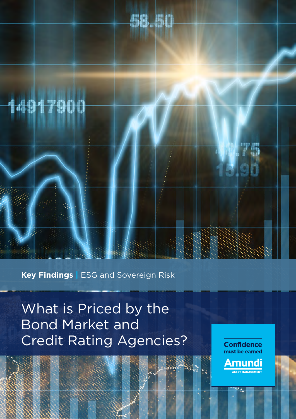

# 14917900

**Key Findings |** ESG and Sovereign Risk

What is Priced by the Bond Market and Credit Rating Agencies?

**Confidence** must be earned Amundi **ASSET MANAGEMENT**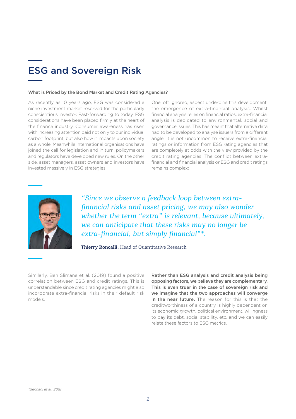# ESG and Sovereign Risk

#### What is Priced by the Bond Market and Credit Rating Agencies?

As recently as 10 years ago, ESG was considered a niche investment market reserved for the particularly conscientious investor. Fast-forwarding to today, ESG considerations have been placed firmly at the heart of the finance industry. Consumer awareness has risen with increasing attention paid not only to our individual carbon footprint, but also how it impacts upon society as a whole. Meanwhile international organisations have joined the call for legislation and in turn, policymakers and regulators have developed new rules. On the other side, asset managers, asset owners and investors have invested massively in ESG strategies.

One, oft ignored, aspect underpins this development; the emergence of extra-financial analysis. Whilst financial analysis relies on financial ratios, extra-financial analysis is dedicated to environmental, social and governance issues. This has meant that alternative data had to be developed to analyse issuers from a different angle. It is not uncommon to receive extra-financial ratings or information from ESG rating agencies that are completely at odds with the view provided by the credit rating agencies. The conflict between extrafinancial and financial analysis or ESG and credit ratings remains complex:



*"Since we observe a feedback loop between extrafinancial risks and asset pricing, we may also wonder whether the term "extra" is relevant, because ultimately, we can anticipate that these risks may no longer be extra-financial, but simply financial"\*.*

**Thierry Roncalli,** Head of Quantitative Research

Similarly, Ben Slimane et al. (2019) found a positive correlation between ESG and credit ratings. This is understandable since credit rating agencies might also incorporate extra-financial risks in their default risk models.

Rather than ESG analysis and credit analysis being opposing factors, we believe they are complementary. This is even truer in the case of sovereign risk and we imagine that the two approaches will converge in the near future. The reason for this is that the creditworthiness of a country is highly dependent on its economic growth, political environment, willingness to pay its debt, social stability, etc. and we can easily relate these factors to ESG metrics.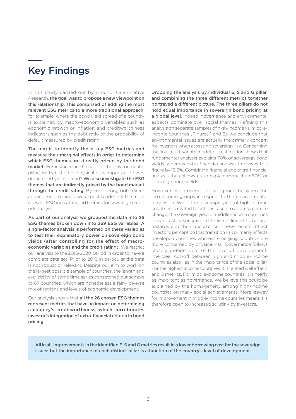## Key Findings

In this study carried out by Amundi Quantitative Research, the goal was to propose a new viewpoint on this relationship. This comprised of adding the most relevant ESG metrics to a more traditional approach, for example, where the bond yield spread of a country is explained by macro-economic variables such as economic growth or inflation and creditworthiness indicators such as the debt ratio or the probability of default measured by credit rating.

The aim is to identify these key ESG metrics and measure their marginal effects in order to determine which ESG themes are directly priced by the bond market. For instance, in the case of the environmental pillar, are transition or physical risks important drivers of the bond vield spread? We also investigate the ESG themes that are indirectly priced by the bond market through the credit rating. By considering both direct and indirect channels, we expect to identify the most relevant ESG indicators and themes for sovereign credit risk analysis.

As part of our analysis we grouped the data into 26 ESG themes broken down into 269 ESG variables. A single-factor analysis is performed on these variables to test their explanatory power on sovereign bond yields (after controlling for the effect of macroeconomic variables and the credit rating). We restrict our analysis to the 2015-2020 period in order to have a complete data set. Prior to 2010 in particular the data is not robust or relevant. Despite our aim to work on the largest possible sample of countries, the length and availability of some time series constrained our sample to 67 countries, which are nonetheless a fairly diverse mix of regions and levels of economic development.

Our analysis shows that all the 26 chosen ESG themes represent metrics that have an impact on determining a country's creditworthiness, which corroborates investor's integration of extra-financial criteria in bond pricing.

Dropping the analysis by individual E, S and G pillar, and combining the three different metrics together portrayed a different picture. The three pillars do not hold equal importance in sovereign bond pricing at a global level. Indeed, governance and environmental aspects dominate over social themes. Refining this analysis on separate samples of high-income vs. middleincome countries (Figures 1 and 2), we conclude that environmental issues are actually the primary concern for investors when assessing sovereign risk. Concerning the final multi-variate model, our estimation shows that fundamental analysis explains 70% of sovereign bond yields, whereas extra-financial analysis improves this figure by 13.5%. Combining financial and extra-financial analysis thus allows us to explain more than 80% of sovereign bond yields.

However, we observe a divergence between the two income groups in respect to the environmental dimension. While the sovereign yield of high-income countries is related to actions taken to address climate change, the sovereign yield of middle-income countries in contrast is sensitive to their resilience to natural hazards and their occurrence. These results reflect investor's perception that transition risk primarily affects developed countries whereas emerging countries are more concerned by physical risk. Governance follows closely, independent of the level of development. The clear cut-off between high and middle-income countries also lies in the importance of the social pillar. For the highest income countries, it is ranked well after E and G metrics. For middle-income countries, it is nearly as important as governance. We believe this could be explained by the homogeneity among high-income countries on many social achievements. More leeway for improvement in middle-income countries means it is therefore open to increased scrutiny by investors.

All in all, improvements in the identified E, S and G metrics result in a lower borrowing cost for the sovereign issuer, but the importance of each distinct pillar is a function of the country's level of development.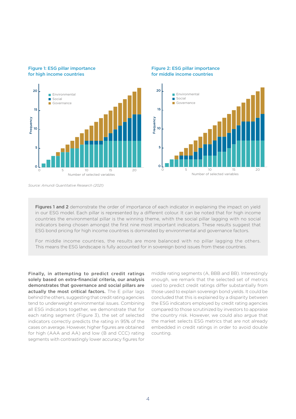

#### Figure 2: ESG pillar importance for middle income countries



*Source: Amundi Quantitative Research (2021)*

Figure 1: ESG pillar importance for high income countries

> Figures 1 and 2 demonstrate the order of importance of each indicator in explaining the impact on yield in our ESG model. Each pillar is represented by a different colour. It can be noted that for high income countries the environmental pillar is the winning theme, whith the social pillar lagging with no social indicators being chosen amongst the first nine most important indicators. These results suggest that ESG bond pricing for high income countries is dominated by environmental and governance factors.

> For middle income countries, the results are more balanced with no pillar lagging the others. This means the ESG landscape is fully accounted for in sovereign bond issues from these countries.

Finally, in attempting to predict credit ratings solely based on extra-financial criteria, our analysis demonstrates that governance and social pillars are actually the most critical factors. The E pillar lags behind the others, suggesting that credit rating agencies tend to underweight environmental issues. Combining all ESG indicators together, we demonstrate that for each rating segment (Figure 3), the set of selected indicators correctly predicts the rating in 95% of the cases on average. However, higher figures are obtained for high (AAA and AA) and low (B and CCC) rating segments with contrastingly lower accuracy figures for

middle rating segments (A, BBB and BB). Interestingly enough, we remark that the selected set of metrics used to predict credit ratings differ substantially from those used to explain sovereign bond yields. It could be concluded that this is explained by a disparity between the ESG indicators employed by credit rating agencies compared to those scrutinized by investors to appraise the country risk. However, we could also argue that the market selects ESG metrics that are not already embedded in credit ratings in order to avoid double counting.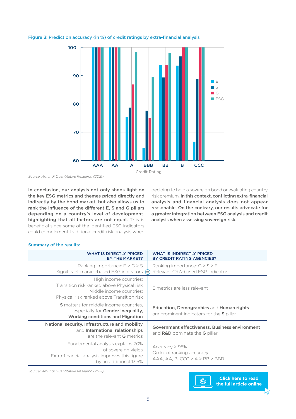

### Figure 3: Prediction accuracy (in %) of credit ratings by extra-financial analysis

*Source: Amundi Quantitative Research (2021)*

In conclusion, our analysis not only sheds light on the key ESG metrics and themes priced directly and indirectly by the bond market, but also allows us to rank the influence of the different E, S and G pillars depending on a country's level of development, highlighting that all factors are not equal. This is beneficial since some of the identified ESG indicators could complement traditional credit risk analysis when

deciding to hold a sovereign bond or evaluating country risk premium. In this context, conflicting extra-financial analysis and financial analysis does not appear reasonable. On the contrary, our results advocate for a greater integration between ESG analysis and credit analysis when assessing sovereign risk.

### Summary of the results:

| <b>WHAT IS DIRECTLY PRICED</b><br><b>BY THE MARKET?</b>                                                                                        | <b>WHAT IS INDIRECTLY PRICED</b><br>BY CREDIT RATING AGENCIES?                        |
|------------------------------------------------------------------------------------------------------------------------------------------------|---------------------------------------------------------------------------------------|
| Ranking importance: $E > G > S$<br>Significant market-based ESG indicators<br>(≠                                                               | Ranking importance: $G > S > E$<br>Relevant CRA-based ESG indicators                  |
| High income countries:<br>Transition risk ranked above Physical risk<br>Middle income countries:<br>Physical risk ranked above Transition risk | E metrics are less relevant                                                           |
| <b>S</b> matters for middle income countries.<br>especially for <b>Gender inequality,</b><br><b>Working conditions and Migration</b>           | Education, Demographics and Human rights<br>are prominent indicators for the S pillar |
| National security, Infrastructure and mobility<br>and International relationships<br>are the relevant <b>G</b> metrics                         | Government effectiveness, Business environment<br>and R&D dominate the G pillar       |
| Fundamental analysis explains 70%<br>of sovereign yields<br>Extra-financial analysis improves this figure<br>by an additional 13.5%            | Accuracy > 95%<br>Order of ranking accuracy:<br>$AAA$ , AA, B, CCC > A > BB > BBB     |

*Source: Amundi Quantitative Research (2021)*